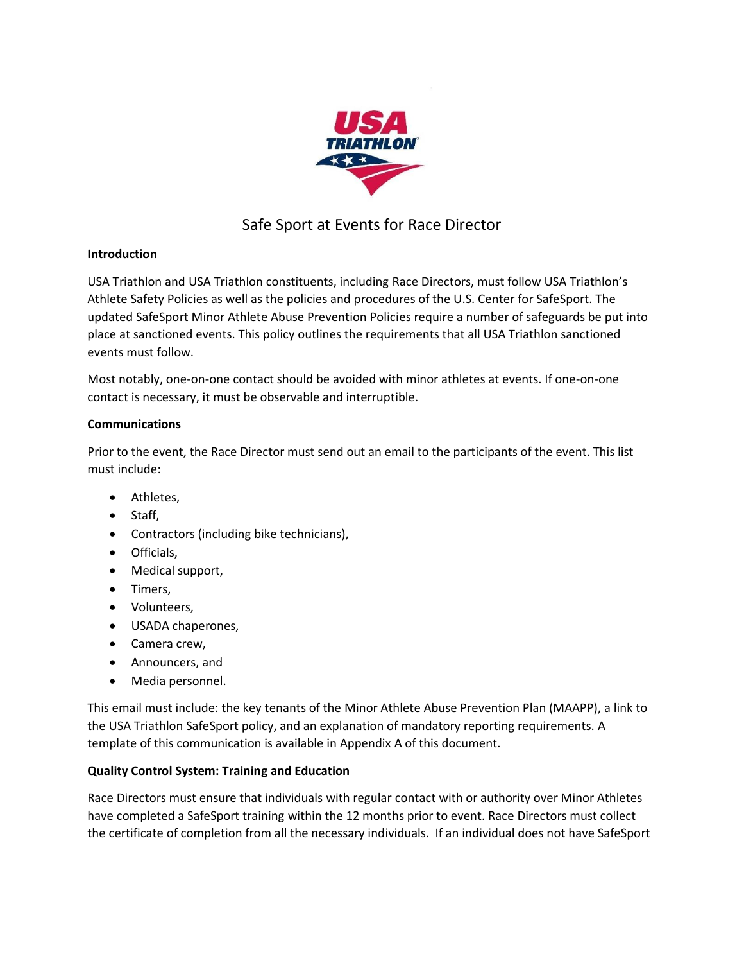

# Safe Sport at Events for Race Director

# **Introduction**

USA Triathlon and USA Triathlon constituents, including Race Directors, must follow USA Triathlon's Athlete Safety Policies as well as the policies and procedures of the U.S. Center for SafeSport. The updated SafeSport Minor Athlete Abuse Prevention Policies require a number of safeguards be put into place at sanctioned events. This policy outlines the requirements that all USA Triathlon sanctioned events must follow.

Most notably, one-on-one contact should be avoided with minor athletes at events. If one-on-one contact is necessary, it must be observable and interruptible.

# **Communications**

Prior to the event, the Race Director must send out an email to the participants of the event. This list must include:

- Athletes,
- Staff,
- Contractors (including bike technicians),
- Officials,
- Medical support,
- Timers,
- Volunteers,
- USADA chaperones,
- Camera crew,
- Announcers, and
- Media personnel.

This email must include: the key tenants of the Minor Athlete Abuse Prevention Plan (MAAPP), a link to the USA Triathlon SafeSport policy, and an explanation of mandatory reporting requirements. A template of this communication is available in Appendix A of this document.

# **Quality Control System: Training and Education**

Race Directors must ensure that individuals with regular contact with or authority over Minor Athletes have completed a SafeSport training within the 12 months prior to event. Race Directors must collect the certificate of completion from all the necessary individuals. If an individual does not have SafeSport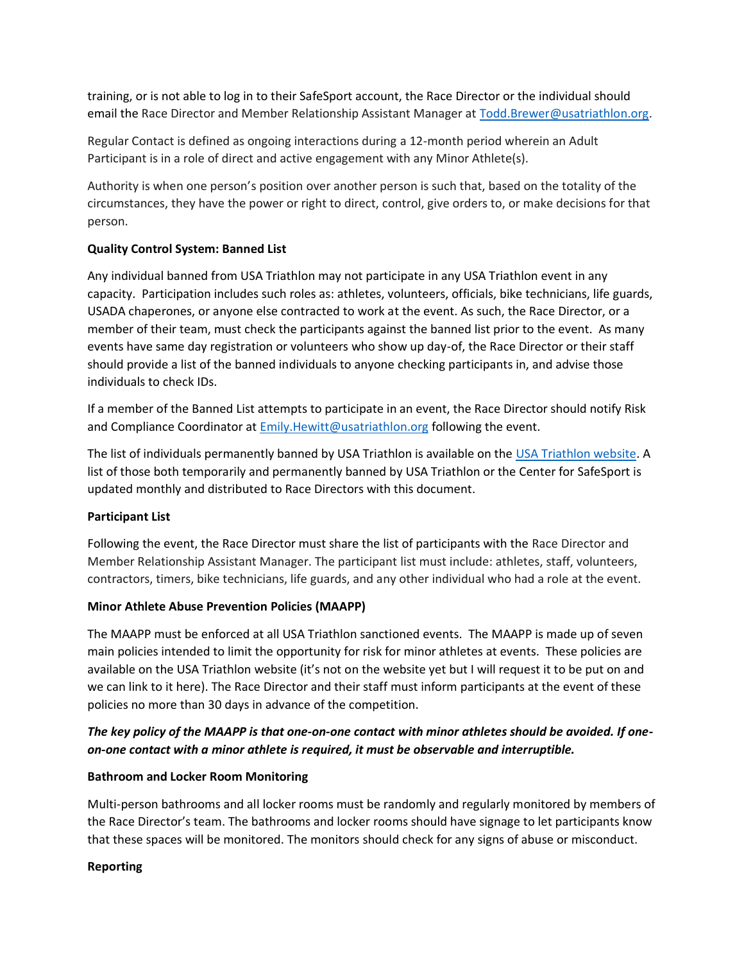training, or is not able to log in to their SafeSport account, the Race Director or the individual should email the Race Director and Member Relationship Assistant Manager a[t Todd.Brewer@usatriathlon.org.](mailto:Todd.Brewer@usatriathlon.org)

Regular Contact is defined as ongoing interactions during a 12-month period wherein an Adult Participant is in a role of direct and active engagement with any Minor Athlete(s).

Authority is when one person's position over another person is such that, based on the totality of the circumstances, they have the power or right to direct, control, give orders to, or make decisions for that person.

# **Quality Control System: Banned List**

Any individual banned from USA Triathlon may not participate in any USA Triathlon event in any capacity. Participation includes such roles as: athletes, volunteers, officials, bike technicians, life guards, USADA chaperones, or anyone else contracted to work at the event. As such, the Race Director, or a member of their team, must check the participants against the banned list prior to the event. As many events have same day registration or volunteers who show up day-of, the Race Director or their staff should provide a list of the banned individuals to anyone checking participants in, and advise those individuals to check IDs.

If a member of the Banned List attempts to participate in an event, the Race Director should notify Risk and Compliance Coordinator at [Emily.Hewitt@usatriathlon.org](mailto:Emily.Hewitt@usatriathlon.org) following the event.

The list of individuals permanently banned by USA Triathlon is available on the [USA Triathlon website.](https://www.teamusa.org/USA-Triathlon/USAT-for-Me/Athlete-Resources/Banned-List) A list of those both temporarily and permanently banned by USA Triathlon or the Center for SafeSport is updated monthly and distributed to Race Directors with this document.

### **Participant List**

Following the event, the Race Director must share the list of participants with the Race Director and Member Relationship Assistant Manager. The participant list must include: athletes, staff, volunteers, contractors, timers, bike technicians, life guards, and any other individual who had a role at the event.

### **Minor Athlete Abuse Prevention Policies (MAAPP)**

The MAAPP must be enforced at all USA Triathlon sanctioned events. The MAAPP is made up of seven main policies intended to limit the opportunity for risk for minor athletes at events. These policies are available on the USA Triathlon website (it's not on the website yet but I will request it to be put on and we can link to it here). The Race Director and their staff must inform participants at the event of these policies no more than 30 days in advance of the competition.

# *The key policy of the MAAPP is that one-on-one contact with minor athletes should be avoided. If oneon-one contact with a minor athlete is required, it must be observable and interruptible.*

### **Bathroom and Locker Room Monitoring**

Multi-person bathrooms and all locker rooms must be randomly and regularly monitored by members of the Race Director's team. The bathrooms and locker rooms should have signage to let participants know that these spaces will be monitored. The monitors should check for any signs of abuse or misconduct.

# **Reporting**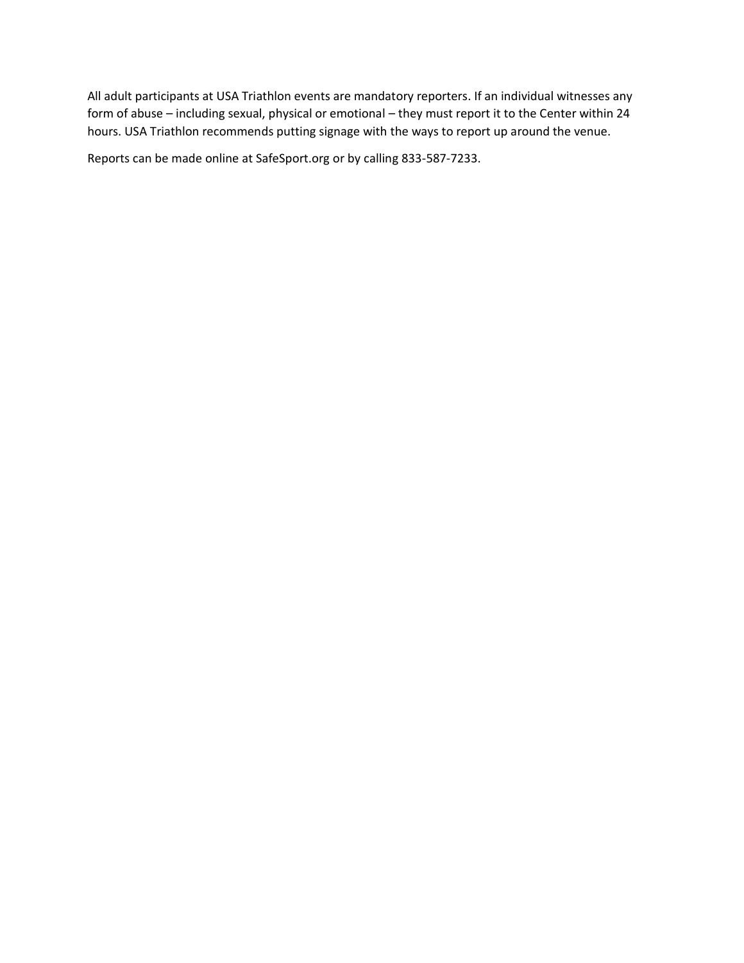All adult participants at USA Triathlon events are mandatory reporters. If an individual witnesses any form of abuse – including sexual, physical or emotional – they must report it to the Center within 24 hours. USA Triathlon recommends putting signage with the ways to report up around the venue.

Reports can be made online at SafeSport.org or by calling 833-587-7233.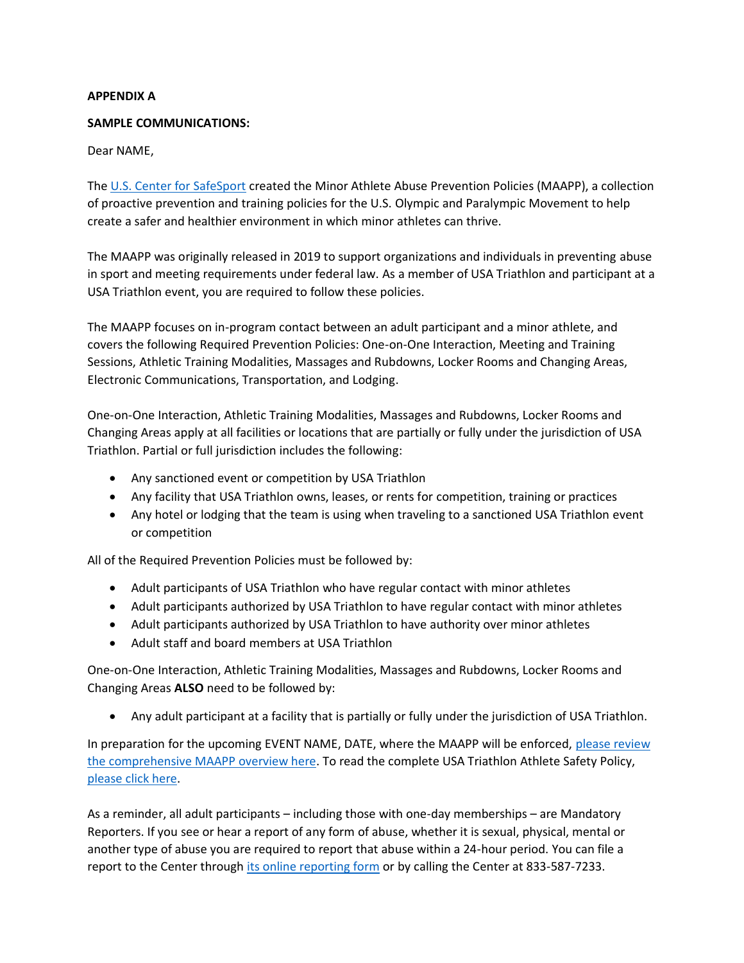### **APPENDIX A**

### **SAMPLE COMMUNICATIONS:**

### Dear NAME,

The [U.S. Center for SafeSport](http://go2.usatriathlon.org/MTA2LU5aUC0yMzEAAAF-StW0xe2UDmD4TMugBmK8Pm8xjgjTn8oZ_p3G4tmCdc5TbBzDQV8jN0EZEA1NzBe3biaaGpo=) created the Minor Athlete Abuse Prevention Policies (MAAPP), a collection of proactive prevention and training policies for the U.S. Olympic and Paralympic Movement to help create a safer and healthier environment in which minor athletes can thrive.

The MAAPP was originally released in 2019 to support organizations and individuals in preventing abuse in sport and meeting requirements under federal law. As a member of USA Triathlon and participant at a USA Triathlon event, you are required to follow these policies.

The MAAPP focuses on in-program contact between an adult participant and a minor athlete, and covers the following Required Prevention Policies: One-on-One Interaction, Meeting and Training Sessions, Athletic Training Modalities, Massages and Rubdowns, Locker Rooms and Changing Areas, Electronic Communications, Transportation, and Lodging.

One-on-One Interaction, Athletic Training Modalities, Massages and Rubdowns, Locker Rooms and Changing Areas apply at all facilities or locations that are partially or fully under the jurisdiction of USA Triathlon. Partial or full jurisdiction includes the following:

- Any sanctioned event or competition by USA Triathlon
- Any facility that USA Triathlon owns, leases, or rents for competition, training or practices
- Any hotel or lodging that the team is using when traveling to a sanctioned USA Triathlon event or competition

All of the Required Prevention Policies must be followed by:

- Adult participants of USA Triathlon who have regular contact with minor athletes
- Adult participants authorized by USA Triathlon to have regular contact with minor athletes
- Adult participants authorized by USA Triathlon to have authority over minor athletes
- Adult staff and board members at USA Triathlon

One-on-One Interaction, Athletic Training Modalities, Massages and Rubdowns, Locker Rooms and Changing Areas **ALSO** need to be followed by:

• Any adult participant at a facility that is partially or fully under the jurisdiction of USA Triathlon.

In preparation for the upcoming EVENT NAME, DATE, where the MAAPP will be enforced, [please review](http://go2.usatriathlon.org/MTA2LU5aUC0yMzEAAAF-StW0xYo-tMBMNDwsDfEKitLLZ4D1okaLnzorpcr4UCP3jIHCg8_lsYt-F4231MWubwg52GA=)  [the comprehensive MAAPP overview here.](http://go2.usatriathlon.org/MTA2LU5aUC0yMzEAAAF-StW0xYo-tMBMNDwsDfEKitLLZ4D1okaLnzorpcr4UCP3jIHCg8_lsYt-F4231MWubwg52GA=) To read the complete USA Triathlon Athlete Safety Policy, [please click here.](http://go2.usatriathlon.org/MTA2LU5aUC0yMzEAAAF-StW0xbD1ogmJoPkFwoRdKt9mORsdKDB3MykegBS3VbT6F8UKBd7Nf50Y-5_EHBO9rVZcNsM=)

As a reminder, all adult participants – including those with one-day memberships – are Mandatory Reporters. If you see or hear a report of any form of abuse, whether it is sexual, physical, mental or another type of abuse you are required to report that abuse within a 24-hour period. You can file a report to the Center through [its online reporting form](http://go2.usatriathlon.org/MTA2LU5aUC0yMzEAAAF-StW0xT5TnWPDECmP2rW-kVUfm9ifeS0-KG6jm2A3JoYrih5dBOU2D8W3UBC7ojHOq0kueAw=) or by calling the Center at 833-587-7233.